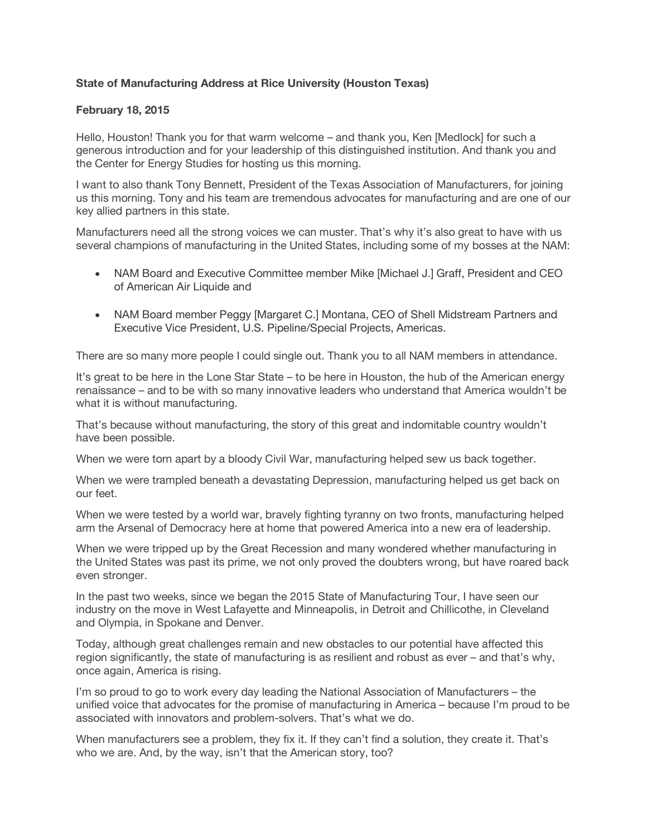## **State of Manufacturing Address at Rice University (Houston Texas)**

## **February 18, 2015**

Hello, Houston! Thank you for that warm welcome – and thank you, Ken [Medlock] for such a generous introduction and for your leadership of this distinguished institution. And thank you and the Center for Energy Studies for hosting us this morning.

I want to also thank Tony Bennett, President of the Texas Association of Manufacturers, for joining us this morning. Tony and his team are tremendous advocates for manufacturing and are one of our key allied partners in this state.

Manufacturers need all the strong voices we can muster. That's why it's also great to have with us several champions of manufacturing in the United States, including some of my bosses at the NAM:

- NAM Board and Executive Committee member Mike [Michael J.] Graff, President and CEO of American Air Liquide and
- NAM Board member Peggy [Margaret C.] Montana, CEO of Shell Midstream Partners and Executive Vice President, U.S. Pipeline/Special Projects, Americas.

There are so many more people I could single out. Thank you to all NAM members in attendance.

It's great to be here in the Lone Star State – to be here in Houston, the hub of the American energy renaissance – and to be with so many innovative leaders who understand that America wouldn't be what it is without manufacturing.

That's because without manufacturing, the story of this great and indomitable country wouldn't have been possible.

When we were torn apart by a bloody Civil War, manufacturing helped sew us back together.

When we were trampled beneath a devastating Depression, manufacturing helped us get back on our feet.

When we were tested by a world war, bravely fighting tyranny on two fronts, manufacturing helped arm the Arsenal of Democracy here at home that powered America into a new era of leadership.

When we were tripped up by the Great Recession and many wondered whether manufacturing in the United States was past its prime, we not only proved the doubters wrong, but have roared back even stronger.

In the past two weeks, since we began the 2015 State of Manufacturing Tour, I have seen our industry on the move in West Lafayette and Minneapolis, in Detroit and Chillicothe, in Cleveland and Olympia, in Spokane and Denver.

Today, although great challenges remain and new obstacles to our potential have affected this region significantly, the state of manufacturing is as resilient and robust as ever – and that's why, once again, America is rising.

I'm so proud to go to work every day leading the National Association of Manufacturers – the unified voice that advocates for the promise of manufacturing in America – because I'm proud to be associated with innovators and problem-solvers. That's what we do.

When manufacturers see a problem, they fix it. If they can't find a solution, they create it. That's who we are. And, by the way, isn't that the American story, too?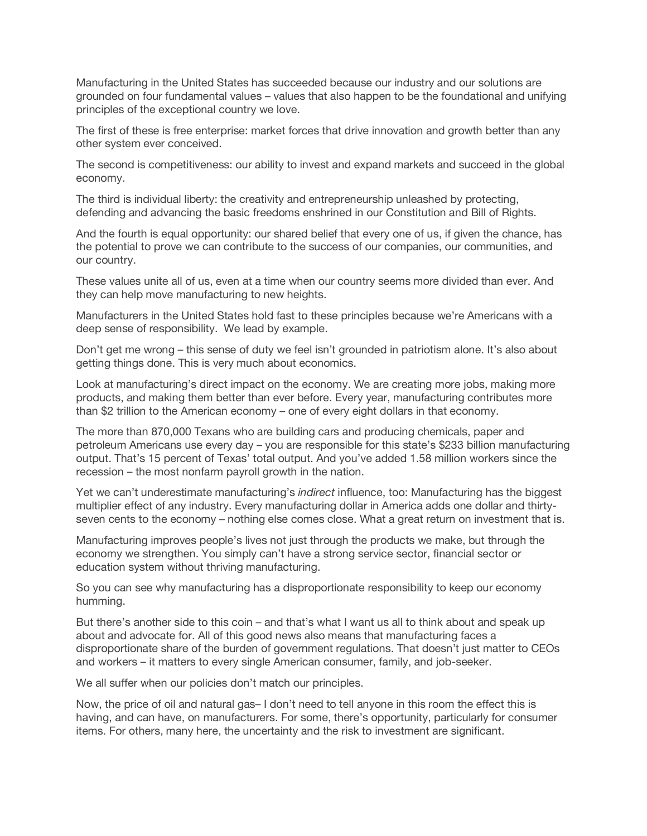Manufacturing in the United States has succeeded because our industry and our solutions are grounded on four fundamental values – values that also happen to be the foundational and unifying principles of the exceptional country we love.

The first of these is free enterprise: market forces that drive innovation and growth better than any other system ever conceived.

The second is competitiveness: our ability to invest and expand markets and succeed in the global economy.

The third is individual liberty: the creativity and entrepreneurship unleashed by protecting, defending and advancing the basic freedoms enshrined in our Constitution and Bill of Rights.

And the fourth is equal opportunity: our shared belief that every one of us, if given the chance, has the potential to prove we can contribute to the success of our companies, our communities, and our country.

These values unite all of us, even at a time when our country seems more divided than ever. And they can help move manufacturing to new heights.

Manufacturers in the United States hold fast to these principles because we're Americans with a deep sense of responsibility. We lead by example.

Don't get me wrong – this sense of duty we feel isn't grounded in patriotism alone. It's also about getting things done. This is very much about economics.

Look at manufacturing's direct impact on the economy. We are creating more jobs, making more products, and making them better than ever before. Every year, manufacturing contributes more than \$2 trillion to the American economy – one of every eight dollars in that economy.

The more than 870,000 Texans who are building cars and producing chemicals, paper and petroleum Americans use every day – you are responsible for this state's \$233 billion manufacturing output. That's 15 percent of Texas' total output. And you've added 1.58 million workers since the recession – the most nonfarm payroll growth in the nation.

Yet we can't underestimate manufacturing's *indirect* influence, too: Manufacturing has the biggest multiplier effect of any industry. Every manufacturing dollar in America adds one dollar and thirtyseven cents to the economy – nothing else comes close. What a great return on investment that is.

Manufacturing improves people's lives not just through the products we make, but through the economy we strengthen. You simply can't have a strong service sector, financial sector or education system without thriving manufacturing.

So you can see why manufacturing has a disproportionate responsibility to keep our economy humming.

But there's another side to this coin – and that's what I want us all to think about and speak up about and advocate for. All of this good news also means that manufacturing faces a disproportionate share of the burden of government regulations. That doesn't just matter to CEOs and workers – it matters to every single American consumer, family, and job-seeker.

We all suffer when our policies don't match our principles.

Now, the price of oil and natural gas– I don't need to tell anyone in this room the effect this is having, and can have, on manufacturers. For some, there's opportunity, particularly for consumer items. For others, many here, the uncertainty and the risk to investment are significant.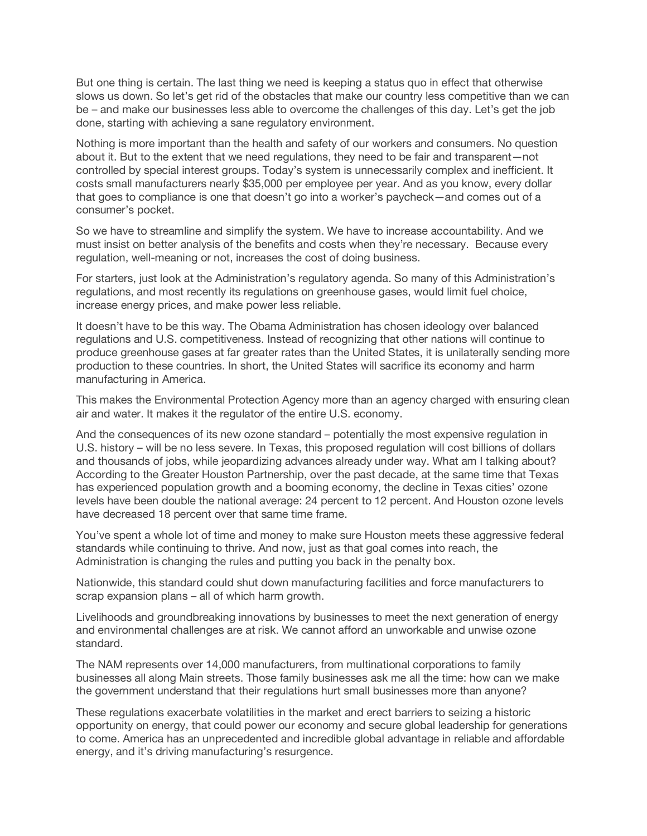But one thing is certain. The last thing we need is keeping a status quo in effect that otherwise slows us down. So let's get rid of the obstacles that make our country less competitive than we can be – and make our businesses less able to overcome the challenges of this day. Let's get the job done, starting with achieving a sane regulatory environment.

Nothing is more important than the health and safety of our workers and consumers. No question about it. But to the extent that we need regulations, they need to be fair and transparent—not controlled by special interest groups. Today's system is unnecessarily complex and inefficient. It costs small manufacturers nearly \$35,000 per employee per year. And as you know, every dollar that goes to compliance is one that doesn't go into a worker's paycheck—and comes out of a consumer's pocket.

So we have to streamline and simplify the system. We have to increase accountability. And we must insist on better analysis of the benefits and costs when they're necessary. Because every regulation, well-meaning or not, increases the cost of doing business.

For starters, just look at the Administration's regulatory agenda. So many of this Administration's regulations, and most recently its regulations on greenhouse gases, would limit fuel choice, increase energy prices, and make power less reliable.

It doesn't have to be this way. The Obama Administration has chosen ideology over balanced regulations and U.S. competitiveness. Instead of recognizing that other nations will continue to produce greenhouse gases at far greater rates than the United States, it is unilaterally sending more production to these countries. In short, the United States will sacrifice its economy and harm manufacturing in America.

This makes the Environmental Protection Agency more than an agency charged with ensuring clean air and water. It makes it the regulator of the entire U.S. economy.

And the consequences of its new ozone standard – potentially the most expensive regulation in U.S. history – will be no less severe. In Texas, this proposed regulation will cost billions of dollars and thousands of jobs, while jeopardizing advances already under way. What am I talking about? According to the Greater Houston Partnership, over the past decade, at the same time that Texas has experienced population growth and a booming economy, the decline in Texas cities' ozone levels have been double the national average: 24 percent to 12 percent. And Houston ozone levels have decreased 18 percent over that same time frame.

You've spent a whole lot of time and money to make sure Houston meets these aggressive federal standards while continuing to thrive. And now, just as that goal comes into reach, the Administration is changing the rules and putting you back in the penalty box.

Nationwide, this standard could shut down manufacturing facilities and force manufacturers to scrap expansion plans – all of which harm growth.

Livelihoods and groundbreaking innovations by businesses to meet the next generation of energy and environmental challenges are at risk. We cannot afford an unworkable and unwise ozone standard.

The NAM represents over 14,000 manufacturers, from multinational corporations to family businesses all along Main streets. Those family businesses ask me all the time: how can we make the government understand that their regulations hurt small businesses more than anyone?

These regulations exacerbate volatilities in the market and erect barriers to seizing a historic opportunity on energy, that could power our economy and secure global leadership for generations to come. America has an unprecedented and incredible global advantage in reliable and affordable energy, and it's driving manufacturing's resurgence.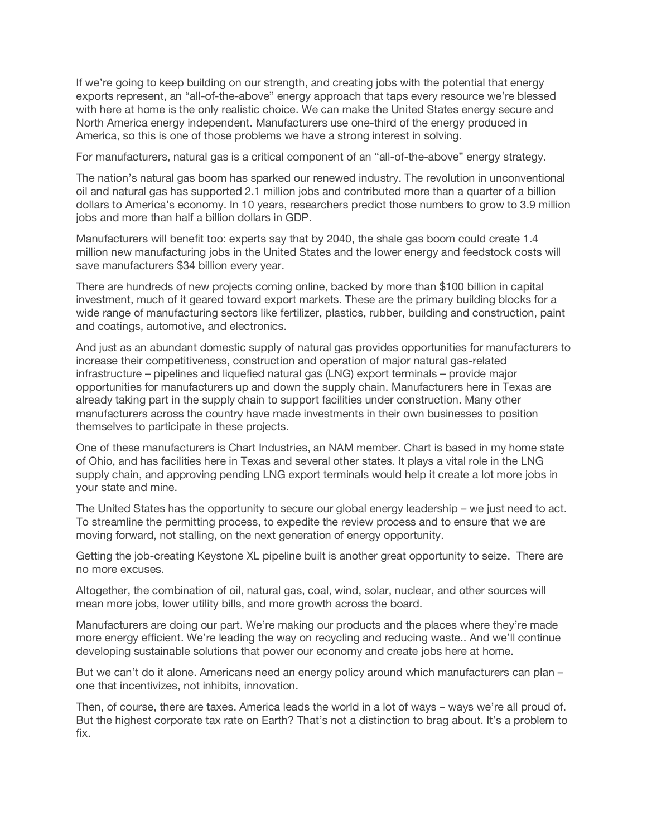If we're going to keep building on our strength, and creating jobs with the potential that energy exports represent, an "all-of-the-above" energy approach that taps every resource we're blessed with here at home is the only realistic choice. We can make the United States energy secure and North America energy independent. Manufacturers use one-third of the energy produced in America, so this is one of those problems we have a strong interest in solving.

For manufacturers, natural gas is a critical component of an "all-of-the-above" energy strategy.

The nation's natural gas boom has sparked our renewed industry. The revolution in unconventional oil and natural gas has supported 2.1 million jobs and contributed more than a quarter of a billion dollars to America's economy. In 10 years, researchers predict those numbers to grow to 3.9 million jobs and more than half a billion dollars in GDP.

Manufacturers will benefit too: experts say that by 2040, the shale gas boom could create 1.4 million new manufacturing jobs in the United States and the lower energy and feedstock costs will save manufacturers \$34 billion every year.

There are hundreds of new projects coming online, backed by more than \$100 billion in capital investment, much of it geared toward export markets. These are the primary building blocks for a wide range of manufacturing sectors like fertilizer, plastics, rubber, building and construction, paint and coatings, automotive, and electronics.

And just as an abundant domestic supply of natural gas provides opportunities for manufacturers to increase their competitiveness, construction and operation of major natural gas-related infrastructure – pipelines and liquefied natural gas (LNG) export terminals – provide major opportunities for manufacturers up and down the supply chain. Manufacturers here in Texas are already taking part in the supply chain to support facilities under construction. Many other manufacturers across the country have made investments in their own businesses to position themselves to participate in these projects.

One of these manufacturers is Chart Industries, an NAM member. Chart is based in my home state of Ohio, and has facilities here in Texas and several other states. It plays a vital role in the LNG supply chain, and approving pending LNG export terminals would help it create a lot more jobs in your state and mine.

The United States has the opportunity to secure our global energy leadership – we just need to act. To streamline the permitting process, to expedite the review process and to ensure that we are moving forward, not stalling, on the next generation of energy opportunity.

Getting the job-creating Keystone XL pipeline built is another great opportunity to seize. There are no more excuses.

Altogether, the combination of oil, natural gas, coal, wind, solar, nuclear, and other sources will mean more jobs, lower utility bills, and more growth across the board.

Manufacturers are doing our part. We're making our products and the places where they're made more energy efficient. We're leading the way on recycling and reducing waste.. And we'll continue developing sustainable solutions that power our economy and create jobs here at home.

But we can't do it alone. Americans need an energy policy around which manufacturers can plan one that incentivizes, not inhibits, innovation.

Then, of course, there are taxes. America leads the world in a lot of ways – ways we're all proud of. But the highest corporate tax rate on Earth? That's not a distinction to brag about. It's a problem to fix.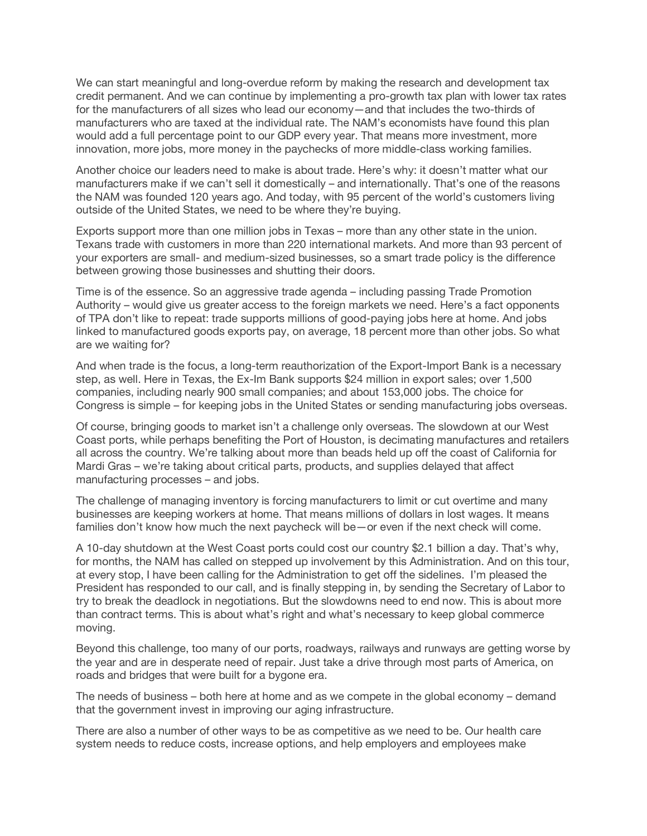We can start meaningful and long-overdue reform by making the research and development tax credit permanent. And we can continue by implementing a pro-growth tax plan with lower tax rates for the manufacturers of all sizes who lead our economy—and that includes the two-thirds of manufacturers who are taxed at the individual rate. The NAM's economists have found this plan would add a full percentage point to our GDP every year. That means more investment, more innovation, more jobs, more money in the paychecks of more middle-class working families.

Another choice our leaders need to make is about trade. Here's why: it doesn't matter what our manufacturers make if we can't sell it domestically – and internationally. That's one of the reasons the NAM was founded 120 years ago. And today, with 95 percent of the world's customers living outside of the United States, we need to be where they're buying.

Exports support more than one million jobs in Texas – more than any other state in the union. Texans trade with customers in more than 220 international markets. And more than 93 percent of your exporters are small- and medium-sized businesses, so a smart trade policy is the difference between growing those businesses and shutting their doors.

Time is of the essence. So an aggressive trade agenda – including passing Trade Promotion Authority – would give us greater access to the foreign markets we need. Here's a fact opponents of TPA don't like to repeat: trade supports millions of good-paying jobs here at home. And jobs linked to manufactured goods exports pay, on average, 18 percent more than other jobs. So what are we waiting for?

And when trade is the focus, a long-term reauthorization of the Export-Import Bank is a necessary step, as well. Here in Texas, the Ex-Im Bank supports \$24 million in export sales; over 1,500 companies, including nearly 900 small companies; and about 153,000 jobs. The choice for Congress is simple – for keeping jobs in the United States or sending manufacturing jobs overseas.

Of course, bringing goods to market isn't a challenge only overseas. The slowdown at our West Coast ports, while perhaps benefiting the Port of Houston, is decimating manufactures and retailers all across the country. We're talking about more than beads held up off the coast of California for Mardi Gras – we're taking about critical parts, products, and supplies delayed that affect manufacturing processes – and jobs.

The challenge of managing inventory is forcing manufacturers to limit or cut overtime and many businesses are keeping workers at home. That means millions of dollars in lost wages. It means families don't know how much the next paycheck will be—or even if the next check will come.

A 10-day shutdown at the West Coast ports could cost our country \$2.1 billion a day. That's why, for months, the NAM has called on stepped up involvement by this Administration. And on this tour, at every stop, I have been calling for the Administration to get off the sidelines. I'm pleased the President has responded to our call, and is finally stepping in, by sending the Secretary of Labor to try to break the deadlock in negotiations. But the slowdowns need to end now. This is about more than contract terms. This is about what's right and what's necessary to keep global commerce moving.

Beyond this challenge, too many of our ports, roadways, railways and runways are getting worse by the year and are in desperate need of repair. Just take a drive through most parts of America, on roads and bridges that were built for a bygone era.

The needs of business – both here at home and as we compete in the global economy – demand that the government invest in improving our aging infrastructure.

There are also a number of other ways to be as competitive as we need to be. Our health care system needs to reduce costs, increase options, and help employers and employees make